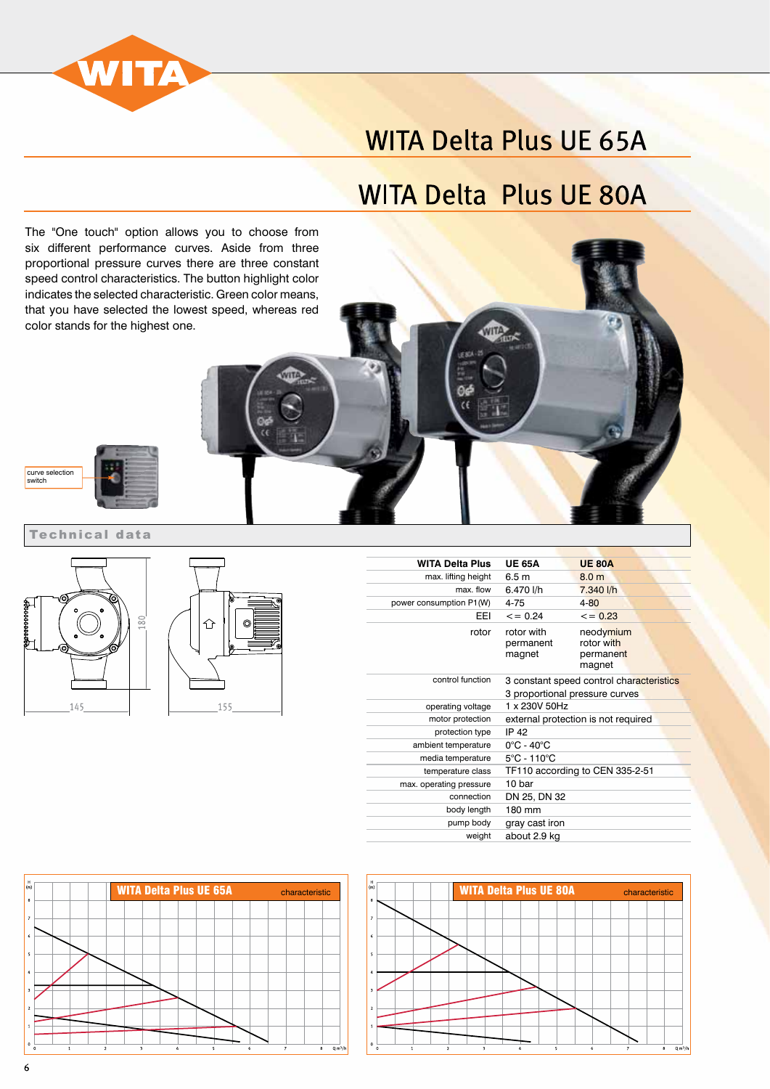

# **WITA Delta Plus UE 65A**

## **WITA Delta Plus UE 80A**

The "One touch" option allows you to choose from six different performance curves. Aside from three proportional pressure curves there are three constant speed control characteristics. The button highlight color indicates the selected characteristic. Green color means, that you have selected the lowest speed, whereas red color stands for the highest one.



Technical data





| <b>WITA Delta Plus</b>  | <b>UE 65A</b>                                                              | <b>UE 80A</b>                                  |  |
|-------------------------|----------------------------------------------------------------------------|------------------------------------------------|--|
| max. lifting height     | 6.5 <sub>m</sub>                                                           | 8.0 <sub>m</sub>                               |  |
| max. flow               | 6.470 l/h                                                                  | 7.340 l/h                                      |  |
| power consumption P1(W) | 4-75                                                                       | $4 - 80$                                       |  |
| EEI                     | $\leq$ = 0.24                                                              | $\leq$ = 0.23                                  |  |
| rotor                   | rotor with<br>permanent<br>magnet                                          | neodymium<br>rotor with<br>permanent<br>magnet |  |
| control function        | 3 constant speed control characteristics<br>3 proportional pressure curves |                                                |  |
| operating voltage       | 1 x 230V 50Hz                                                              |                                                |  |
| motor protection        | external protection is not required                                        |                                                |  |
| protection type         | <b>IP 42</b>                                                               |                                                |  |
| ambient temperature     | $0^{\circ}$ C - 40 $^{\circ}$ C                                            |                                                |  |
| media temperature       | $5^{\circ}$ C - 110 $^{\circ}$ C                                           |                                                |  |
| temperature class       | TF110 according to CEN 335-2-51                                            |                                                |  |
| max. operating pressure | 10 bar                                                                     |                                                |  |
| connection              | DN 25, DN 32                                                               |                                                |  |
| body length             | 180 mm                                                                     |                                                |  |
| pump body               | gray cast iron                                                             |                                                |  |
| weight                  | about 2.9 kg                                                               |                                                |  |



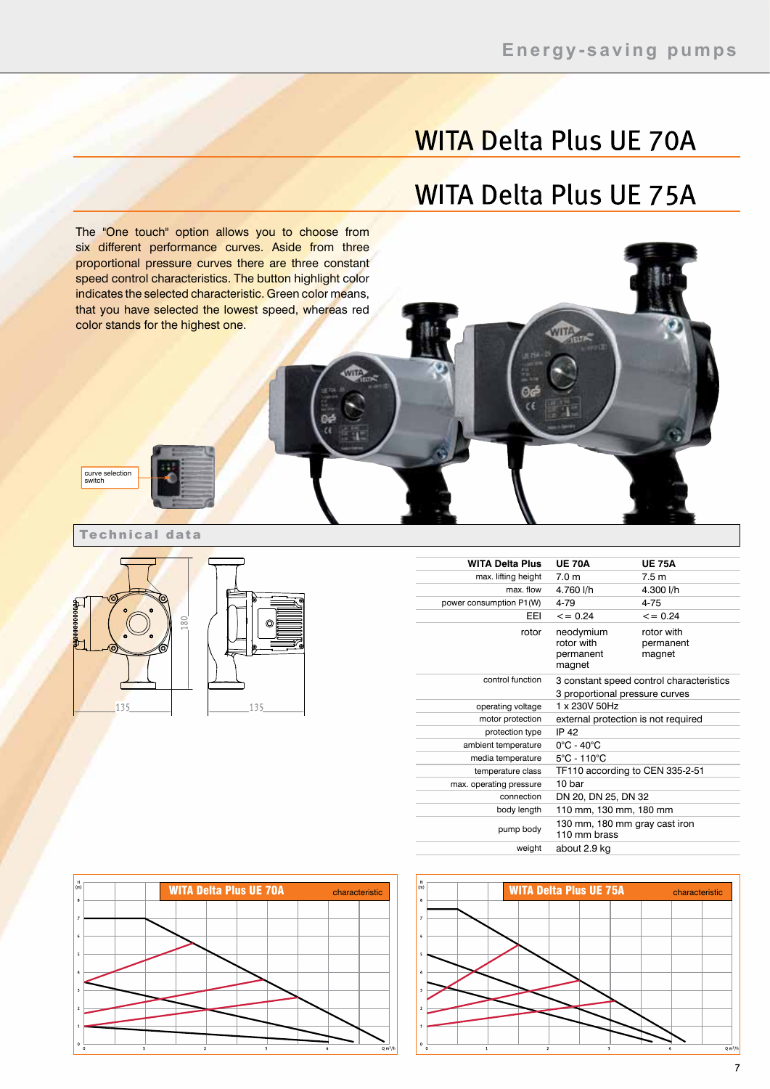# **WITA Delta Plus UE 70A**

#### **WITA Delta Plus UE 75A**

The "One touch" option allows you to choose from six different performance curves. Aside from three proportional pressure curves there are three constant speed control characteristics. The button highlight color indicates the selected characteristic. Green color means, that you have selected the lowest speed, whereas red color stands for the highest one.

Technical data

curve selection switch



| <b>WITA Delta Plus</b>  | <b>UE 70A</b>                                                              | <b>UE 75A</b>                     |
|-------------------------|----------------------------------------------------------------------------|-----------------------------------|
| max. lifting height     | 7.0 <sub>m</sub>                                                           | 7.5 <sub>m</sub>                  |
| max. flow               | 4.760 l/h                                                                  | 4.300 l/h                         |
| power consumption P1(W) | 4-79                                                                       | $4 - 75$                          |
| <b>FFI</b>              | $\leq$ = 0.24                                                              | $\leq$ = 0.24                     |
| rotor                   | neodymium<br>rotor with<br>permanent<br>magnet                             | rotor with<br>permanent<br>magnet |
| control function        | 3 constant speed control characteristics<br>3 proportional pressure curves |                                   |
| operating voltage       | 1 x 230V 50Hz                                                              |                                   |
| motor protection        | external protection is not required                                        |                                   |
| protection type         | <b>IP 42</b>                                                               |                                   |
| ambient temperature     | $0^{\circ}$ C - 40 $^{\circ}$ C                                            |                                   |
| media temperature       | $5^{\circ}$ C - 110 $^{\circ}$ C                                           |                                   |
| temperature class       | TF110 according to CEN 335-2-51                                            |                                   |
| max. operating pressure | 10 bar                                                                     |                                   |
| connection              | DN 20, DN 25, DN 32                                                        |                                   |
| body length             | 110 mm, 130 mm, 180 mm                                                     |                                   |
| pump body               | 130 mm, 180 mm gray cast iron<br>110 mm brass                              |                                   |
| weight                  | about 2.9 kg                                                               |                                   |